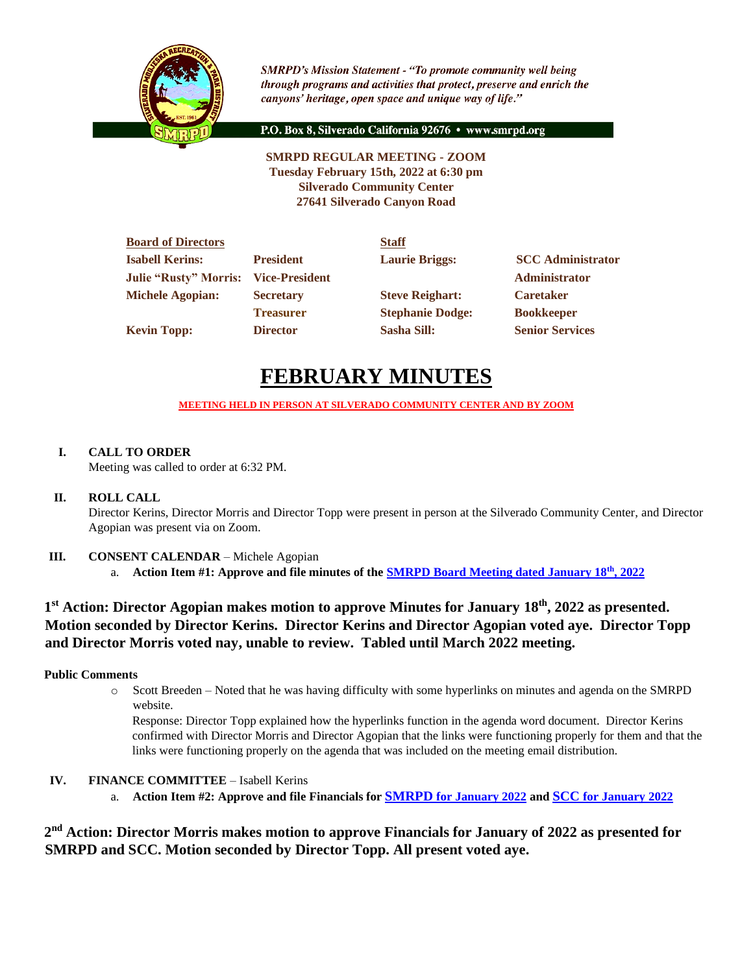

**SMRPD's Mission Statement - "To promote community well being** through programs and activities that protect, preserve and enrich the canyons' heritage, open space and unique way of life."

P.O. Box 8, Silverado California 92676 · www.smrpd.org

**SMRPD REGULAR MEETING - ZOOM Tuesday February 15th, 2022 at 6:30 pm Silverado Community Center 27641 Silverado Canyon Road**

| <b>Board of Directors</b>    |                       | <b>Staff</b>            |                          |
|------------------------------|-----------------------|-------------------------|--------------------------|
| <b>Isabell Kerins:</b>       | <b>President</b>      | <b>Laurie Briggs:</b>   | <b>SCC</b> Administrator |
| <b>Julie "Rusty" Morris:</b> | <b>Vice-President</b> |                         | <b>Administrator</b>     |
| <b>Michele Agopian:</b>      | <b>Secretary</b>      | <b>Steve Reighart:</b>  | <b>Caretaker</b>         |
|                              | <b>Treasurer</b>      | <b>Stephanie Dodge:</b> | <b>Bookkeeper</b>        |
| <b>Kevin Topp:</b>           | <b>Director</b>       | <b>Sasha Sill:</b>      | <b>Senior Services</b>   |

# **FEBRUARY MINUTES**

**MEETING HELD IN PERSON AT SILVERADO COMMUNITY CENTER AND BY ZOOM**

# **I. CALL TO ORDER**

Meeting was called to order at 6:32 PM.

# **II. ROLL CALL**

Director Kerins, Director Morris and Director Topp were present in person at the Silverado Community Center, and Director Agopian was present via on Zoom.

# **III. CONSENT CALENDAR** – Michele Agopian

a. **Action Item #1: Approve and file minutes of the [SMRPD Board Meeting dated January 18](https://1drv.ms/b/s!An_OKisCbP0FmB4LbYkKIYNs2ZI9?e=wQ1TGX)th, 2022**

# **1 st Action: Director Agopian makes motion to approve Minutes for January 18th, 2022 as presented. Motion seconded by Director Kerins. Director Kerins and Director Agopian voted aye. Director Topp and Director Morris voted nay, unable to review. Tabled until March 2022 meeting.**

# **Public Comments**

o Scott Breeden – Noted that he was having difficulty with some hyperlinks on minutes and agenda on the SMRPD website.

Response: Director Topp explained how the hyperlinks function in the agenda word document. Director Kerins confirmed with Director Morris and Director Agopian that the links were functioning properly for them and that the links were functioning properly on the agenda that was included on the meeting email distribution.

# **IV. FINANCE COMMITTEE** – Isabell Kerins

a. **Action Item #2: Approve and file Financials for [SMRPD](https://1drv.ms/b/s!An_OKisCbP0FmBH-n06rUeJ4UAdS?e=CgPVyE) [for January 2022](https://1drv.ms/b/s!An_OKisCbP0FmBH-n06rUeJ4UAdS?e=CgPVyE) and [SCC](https://1drv.ms/b/s!An_OKisCbP0FmAzF4hy1SfAD48vv?e=a0XPt6) [for January 2022](https://1drv.ms/b/s!An_OKisCbP0FmAzF4hy1SfAD48vv?e=a0XPt6)**

**2 nd Action: Director Morris makes motion to approve Financials for January of 2022 as presented for SMRPD and SCC. Motion seconded by Director Topp. All present voted aye.**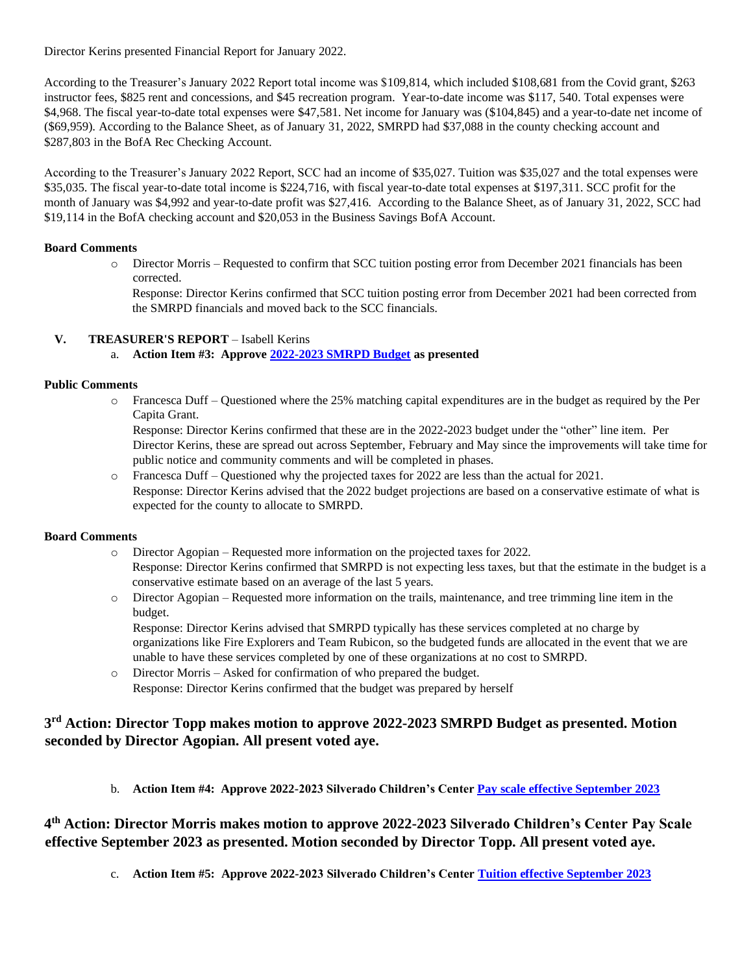Director Kerins presented Financial Report for January 2022.

According to the Treasurer's January 2022 Report total income was \$109,814, which included \$108,681 from the Covid grant, \$263 instructor fees, \$825 rent and concessions, and \$45 recreation program. Year-to-date income was \$117, 540. Total expenses were \$4,968. The fiscal year-to-date total expenses were \$47,581. Net income for January was (\$104,845) and a year-to-date net income of (\$69,959). According to the Balance Sheet, as of January 31, 2022, SMRPD had \$37,088 in the county checking account and \$287,803 in the BofA Rec Checking Account.

According to the Treasurer's January 2022 Report, SCC had an income of \$35,027. Tuition was \$35,027 and the total expenses were \$35,035. The fiscal year-to-date total income is \$224,716, with fiscal year-to-date total expenses at \$197,311. SCC profit for the month of January was \$4,992 and year-to-date profit was \$27,416. According to the Balance Sheet, as of January 31, 2022, SCC had \$19,114 in the BofA checking account and \$20,053 in the Business Savings BofA Account.

### **Board Comments**

o Director Morris – Requested to confirm that SCC tuition posting error from December 2021 financials has been corrected.

Response: Director Kerins confirmed that SCC tuition posting error from December 2021 had been corrected from the SMRPD financials and moved back to the SCC financials.

# **V. TREASURER'S REPORT** – Isabell Kerins

a. **Action Item #3: Approve [2022-2023 SMRPD Budget](https://1drv.ms/b/s!An_OKisCbP0Fl31_YXqFVh_X0e9-?e=6DvQ4U) as presented**

### **Public Comments**

o Francesca Duff – Questioned where the 25% matching capital expenditures are in the budget as required by the Per Capita Grant.

Response: Director Kerins confirmed that these are in the 2022-2023 budget under the "other" line item. Per Director Kerins, these are spread out across September, February and May since the improvements will take time for public notice and community comments and will be completed in phases.

o Francesca Duff – Questioned why the projected taxes for 2022 are less than the actual for 2021. Response: Director Kerins advised that the 2022 budget projections are based on a conservative estimate of what is expected for the county to allocate to SMRPD.

### **Board Comments**

- o Director Agopian Requested more information on the projected taxes for 2022. Response: Director Kerins confirmed that SMRPD is not expecting less taxes, but that the estimate in the budget is a conservative estimate based on an average of the last 5 years.
- o Director Agopian Requested more information on the trails, maintenance, and tree trimming line item in the budget.

Response: Director Kerins advised that SMRPD typically has these services completed at no charge by organizations like Fire Explorers and Team Rubicon, so the budgeted funds are allocated in the event that we are unable to have these services completed by one of these organizations at no cost to SMRPD.

o Director Morris – Asked for confirmation of who prepared the budget. Response: Director Kerins confirmed that the budget was prepared by herself

# **3 rd Action: Director Topp makes motion to approve 2022-2023 SMRPD Budget as presented. Motion seconded by Director Agopian. All present voted aye.**

b. **Action Item #4: Approve 2022-2023 Silverado Children's Center [Pay scale effective September 2023](https://1drv.ms/b/s!An_OKisCbP0FmANyayD2VFY61z64?e=d54fSg)**

**4 th Action: Director Morris makes motion to approve 2022-2023 Silverado Children's Center Pay Scale effective September 2023 as presented. Motion seconded by Director Topp. All present voted aye.**

c. **Action Item #5: Approve 2022-2023 Silverado Children's Cente[r Tuition effective September 2023](https://1drv.ms/b/s!An_OKisCbP0FmAavZcYHh1ZhrqKd?e=CtNHh3)**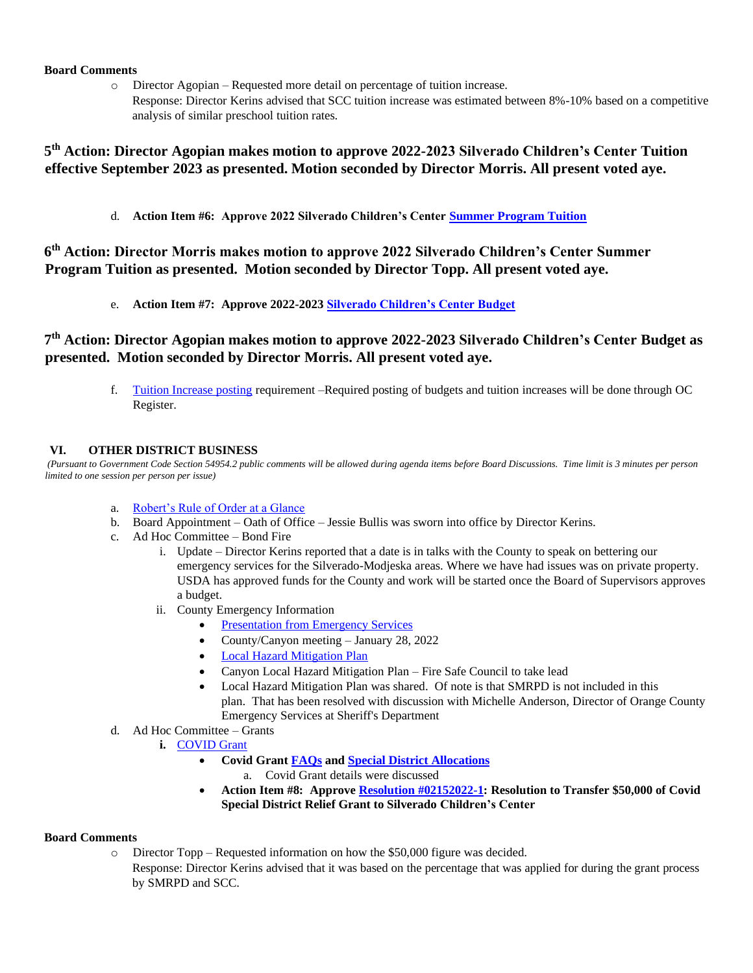## **Board Comments**

- o Director Agopian Requested more detail on percentage of tuition increase.
	- Response: Director Kerins advised that SCC tuition increase was estimated between 8%-10% based on a competitive analysis of similar preschool tuition rates.

# **5 th Action: Director Agopian makes motion to approve 2022-2023 Silverado Children's Center Tuition effective September 2023 as presented. Motion seconded by Director Morris. All present voted aye.**

d. **Action Item #6: Approve 2022 Silverado Children's Center [Summer Program Tuition](https://1drv.ms/b/s!An_OKisCbP0FmA-f4DEj0ozShESF?e=PRFBHG)**

# **6 th Action: Director Morris makes motion to approve 2022 Silverado Children's Center Summer Program Tuition as presented. Motion seconded by Director Topp. All present voted aye.**

e. **Action Item #7: Approve 2022-202[3 Silverado Children's Center Budget](https://1drv.ms/b/s!An_OKisCbP0FmChTWYeidzhprA5U?e=TBOWwi)**

# **7 th Action: Director Agopian makes motion to approve 2022-2023 Silverado Children's Center Budget as presented. Motion seconded by Director Morris. All present voted aye.**

f. [Tuition Increase posting](https://1drv.ms/b/s!An_OKisCbP0FmBIqHI_lWulYpeYZ?e=DdwM3V) requirement –Required posting of budgets and tuition increases will be done through OC Register.

## **VI. OTHER DISTRICT BUSINESS**

*(Pursuant to Government Code Section 54954.2 public comments will be allowed during agenda items before Board Discussions. Time limit is 3 minutes per person limited to one session per person per issue)*

- a. [Robert's Rule of Order at a Glance](https://1drv.ms/b/s!An_OKisCbP0Fl1lbTQG5YPjo1RjZ?e=a0ybIl)
- b. Board Appointment Oath of Office Jessie Bullis was sworn into office by Director Kerins.
- c. Ad Hoc Committee Bond Fire
	- i. Update Director Kerins reported that a date is in talks with the County to speak on bettering our emergency services for the Silverado-Modjeska areas. Where we have had issues was on private property. USDA has approved funds for the County and work will be started once the Board of Supervisors approves a budget.
		- ii. County Emergency Information
			- **[Presentation from Emergency Services](https://1drv.ms/b/s!An_OKisCbP0FmCQOiGATHfjuDuO0?e=4kfB9H)**
			- County/Canyon meeting January 28, 2022
			- [Local Hazard Mitigation Plan](https://ocsheriff.gov/sites/ocsd/files/2021-05/May%202021%20County%20of%20Orange%20Hazard%20Mitigation%20Plan%20PUBLIC%20REVIEW%20DRAFT.pdf)
			- Canyon Local Hazard Mitigation Plan Fire Safe Council to take lead
			- Local Hazard Mitigation Plan was shared. Of note is that SMRPD is not included in this plan. That has been resolved with discussion with Michelle Anderson, Director of Orange County Emergency Services at Sheriff's Department
- d. Ad Hoc Committee Grants
	- **i.** [COVID Grant](https://www.csda.net/advocate/take-action/covid)
		- **Covid Gran[t FAQs](https://1drv.ms/b/s!An_OKisCbP0FmC3MwqpdBWkJLBeu?e=6MrRZ8) and [Special District Allocations](https://1drv.ms/b/s!An_OKisCbP0FmC6VY6kvaXER6WUn?e=0d7FcE)**
			- a. Covid Grant details were discussed
		- **Action Item #8: Approv[e Resolution #02152022-1:](https://1drv.ms/b/s!An_OKisCbP0Fl2MGPMKGVV-K8O8L?e=cBQ4oS) Resolution to Transfer \$50,000 of Covid Special District Relief Grant to Silverado Children's Center**

### **Board Comments**

o Director Topp – Requested information on how the \$50,000 figure was decided.

Response: Director Kerins advised that it was based on the percentage that was applied for during the grant process by SMRPD and SCC.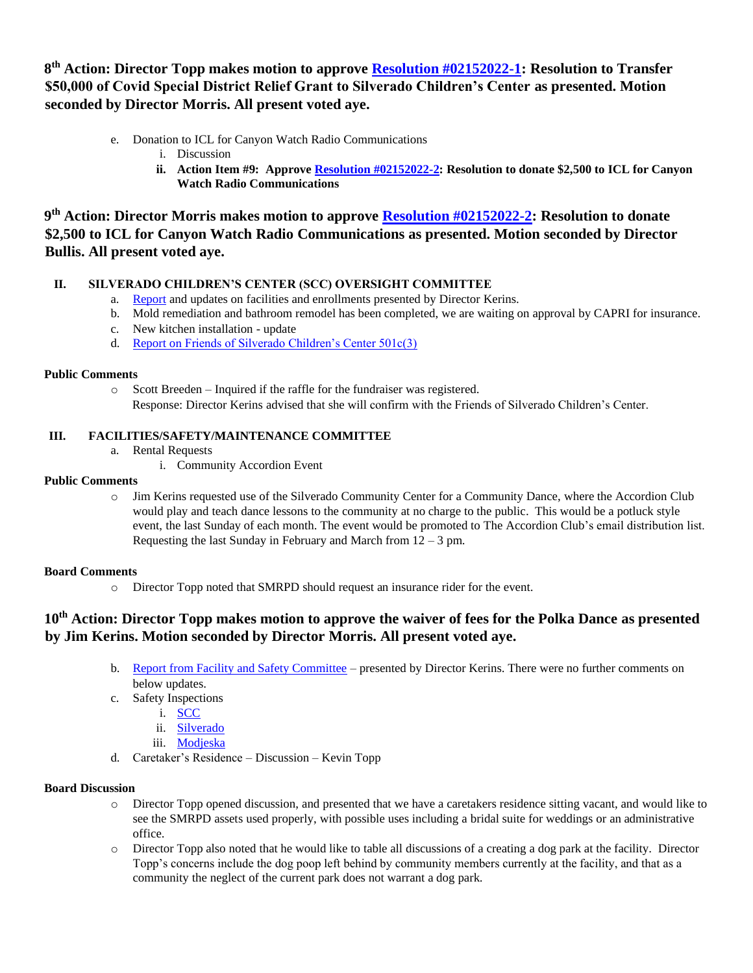**8 th Action: Director Topp makes motion to approve [Resolution #02152022-1:](https://1drv.ms/b/s!An_OKisCbP0Fl2MGPMKGVV-K8O8L?e=cBQ4oS) Resolution to Transfer \$50,000 of Covid Special District Relief Grant to Silverado Children's Center as presented. Motion seconded by Director Morris. All present voted aye.**

- e. Donation to ICL for Canyon Watch Radio Communications
	- i. Discussion
	- **ii. Action Item #9: Approv[e Resolution #02152022-2:](https://1drv.ms/b/s!An_OKisCbP0Fl2k_sU_vfav9gIG4?e=ogfCNJ) Resolution to donate \$2,500 to ICL for Canyon Watch Radio Communications**

**9 th Action: Director Morris makes motion to approve [Resolution #02152022-2:](https://1drv.ms/b/s!An_OKisCbP0Fl2k_sU_vfav9gIG4?e=ogfCNJ) Resolution to donate \$2,500 to ICL for Canyon Watch Radio Communications as presented. Motion seconded by Director Bullis. All present voted aye.**

# **II. SILVERADO CHILDREN'S CENTER (SCC) OVERSIGHT COMMITTEE**

- a. [Report](https://1drv.ms/b/s!An_OKisCbP0FmAlhiN1xyztWVTyL?e=QKoK0X) and updates on facilities and enrollments presented by Director Kerins.
- b. Mold remediation and bathroom remodel has been completed, we are waiting on approval by CAPRI for insurance.
- c. New kitchen installation update
- d. [Report on Friends of Silverado Children's Center 501c\(3\)](https://1drv.ms/b/s!An_OKisCbP0FmB93jx6EFMb1bBBK?e=TpOH5k)

### **Public Comments**

o Scott Breeden – Inquired if the raffle for the fundraiser was registered. Response: Director Kerins advised that she will confirm with the Friends of Silverado Children's Center.

# **III. FACILITIES/SAFETY/MAINTENANCE COMMITTEE**

- a. Rental Requests
	- i. Community Accordion Event

# **Public Comments**

o Jim Kerins requested use of the Silverado Community Center for a Community Dance, where the Accordion Club would play and teach dance lessons to the community at no charge to the public. This would be a potluck style event, the last Sunday of each month. The event would be promoted to The Accordion Club's email distribution list. Requesting the last Sunday in February and March from  $12 - 3$  pm.

# **Board Comments**

o Director Topp noted that SMRPD should request an insurance rider for the event.

# **10th Action: Director Topp makes motion to approve the waiver of fees for the Polka Dance as presented by Jim Kerins. Motion seconded by Director Morris. All present voted aye.**

- b. [Report from Facility and Safety Committee](https://1drv.ms/b/s!An_OKisCbP0Fl2g3wZUgI7uY-XTS?e=4OGfFn) presented by Director Kerins. There were no further comments on below updates.
- c. Safety Inspections
	- i. [SCC](https://1drv.ms/b/s!An_OKisCbP0Fl3f6mJFBzJ9RCGr8?e=j8yc2o)
	- ii. [Silverado](https://1drv.ms/b/s!An_OKisCbP0Fl3qn1exJuNP6iIBd?e=ZGM3og)
	- iii. [Modjeska](https://1drv.ms/b/s!An_OKisCbP0Fl3n60vj9ezMt-VMQ?e=wzmhEv)
- d. Caretaker's Residence Discussion Kevin Topp

### **Board Discussion**

- o Director Topp opened discussion, and presented that we have a caretakers residence sitting vacant, and would like to see the SMRPD assets used properly, with possible uses including a bridal suite for weddings or an administrative office.
- o Director Topp also noted that he would like to table all discussions of a creating a dog park at the facility. Director Topp's concerns include the dog poop left behind by community members currently at the facility, and that as a community the neglect of the current park does not warrant a dog park.